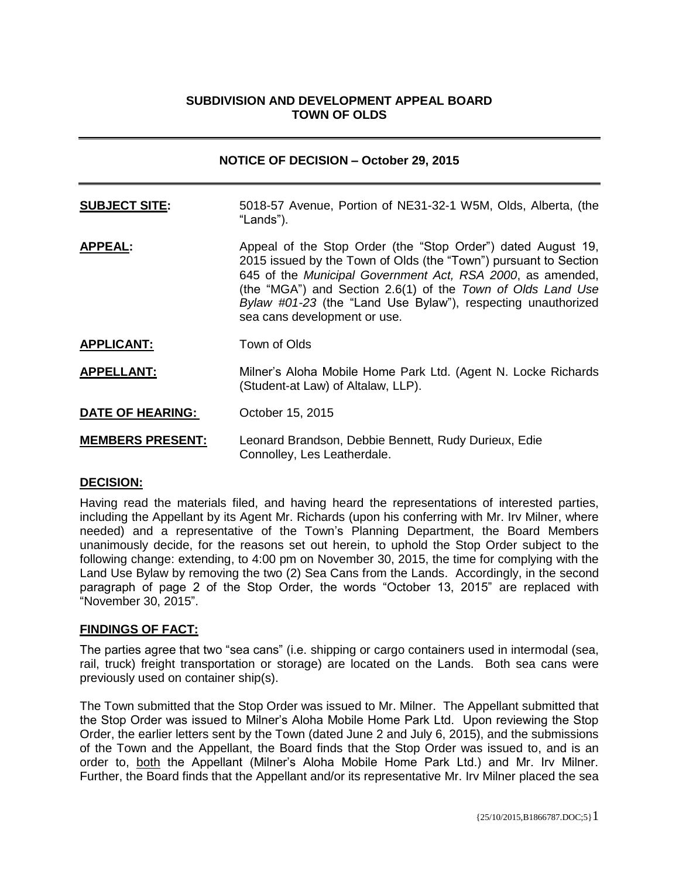## **SUBDIVISION AND DEVELOPMENT APPEAL BOARD TOWN OF OLDS**

| <b>NOTICE OF DECISION - October 29, 2015</b> |                                                                                                                                                                                                                                                                                                                                                               |
|----------------------------------------------|---------------------------------------------------------------------------------------------------------------------------------------------------------------------------------------------------------------------------------------------------------------------------------------------------------------------------------------------------------------|
| <b>SUBJECT SITE:</b>                         | 5018-57 Avenue, Portion of NE31-32-1 W5M, Olds, Alberta, (the<br>"Lands").                                                                                                                                                                                                                                                                                    |
| <b>APPEAL:</b>                               | Appeal of the Stop Order (the "Stop Order") dated August 19,<br>2015 issued by the Town of Olds (the "Town") pursuant to Section<br>645 of the Municipal Government Act, RSA 2000, as amended,<br>(the "MGA") and Section 2.6(1) of the Town of Olds Land Use<br>Bylaw #01-23 (the "Land Use Bylaw"), respecting unauthorized<br>sea cans development or use. |
| <b>APPLICANT:</b>                            | Town of Olds                                                                                                                                                                                                                                                                                                                                                  |
| <b>APPELLANT:</b>                            | Milner's Aloha Mobile Home Park Ltd. (Agent N. Locke Richards<br>(Student-at Law) of Altalaw, LLP).                                                                                                                                                                                                                                                           |
| <b>DATE OF HEARING:</b>                      | October 15, 2015                                                                                                                                                                                                                                                                                                                                              |
| <b>MEMBERS PRESENT:</b>                      | Leonard Brandson, Debbie Bennett, Rudy Durieux, Edie                                                                                                                                                                                                                                                                                                          |

### **DECISION:**

Having read the materials filed, and having heard the representations of interested parties, including the Appellant by its Agent Mr. Richards (upon his conferring with Mr. Irv Milner, where needed) and a representative of the Town's Planning Department, the Board Members unanimously decide, for the reasons set out herein, to uphold the Stop Order subject to the following change: extending, to 4:00 pm on November 30, 2015, the time for complying with the Land Use Bylaw by removing the two (2) Sea Cans from the Lands. Accordingly, in the second paragraph of page 2 of the Stop Order, the words "October 13, 2015" are replaced with "November 30, 2015".

Connolley, Les Leatherdale.

### **FINDINGS OF FACT:**

The parties agree that two "sea cans" (i.e. shipping or cargo containers used in intermodal (sea, rail, truck) freight transportation or storage) are located on the Lands. Both sea cans were previously used on container ship(s).

The Town submitted that the Stop Order was issued to Mr. Milner. The Appellant submitted that the Stop Order was issued to Milner's Aloha Mobile Home Park Ltd. Upon reviewing the Stop Order, the earlier letters sent by the Town (dated June 2 and July 6, 2015), and the submissions of the Town and the Appellant, the Board finds that the Stop Order was issued to, and is an order to, both the Appellant (Milner's Aloha Mobile Home Park Ltd.) and Mr. Irv Milner. Further, the Board finds that the Appellant and/or its representative Mr. Irv Milner placed the sea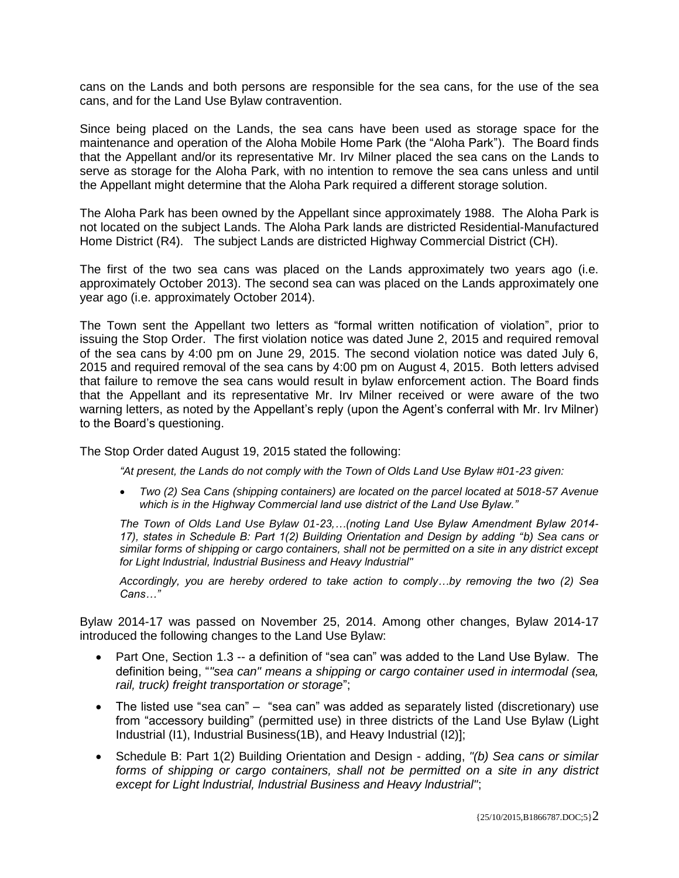cans on the Lands and both persons are responsible for the sea cans, for the use of the sea cans, and for the Land Use Bylaw contravention.

Since being placed on the Lands, the sea cans have been used as storage space for the maintenance and operation of the Aloha Mobile Home Park (the "Aloha Park"). The Board finds that the Appellant and/or its representative Mr. Irv Milner placed the sea cans on the Lands to serve as storage for the Aloha Park, with no intention to remove the sea cans unless and until the Appellant might determine that the Aloha Park required a different storage solution.

The Aloha Park has been owned by the Appellant since approximately 1988. The Aloha Park is not located on the subject Lands. The Aloha Park lands are districted Residential-Manufactured Home District (R4). The subject Lands are districted Highway Commercial District (CH).

The first of the two sea cans was placed on the Lands approximately two years ago (i.e. approximately October 2013). The second sea can was placed on the Lands approximately one year ago (i.e. approximately October 2014).

The Town sent the Appellant two letters as "formal written notification of violation", prior to issuing the Stop Order. The first violation notice was dated June 2, 2015 and required removal of the sea cans by 4:00 pm on June 29, 2015. The second violation notice was dated July 6, 2015 and required removal of the sea cans by 4:00 pm on August 4, 2015. Both letters advised that failure to remove the sea cans would result in bylaw enforcement action. The Board finds that the Appellant and its representative Mr. Irv Milner received or were aware of the two warning letters, as noted by the Appellant's reply (upon the Agent's conferral with Mr. Irv Milner) to the Board's questioning.

The Stop Order dated August 19, 2015 stated the following:

*"At present, the Lands do not comply with the Town of Olds Land Use Bylaw #01-23 given:* 

 *Two (2) Sea Cans (shipping containers) are located on the parcel located at 5018-57 Avenue which is in the Highway Commercial land use district of the Land Use Bylaw."*

*The Town of Olds Land Use Bylaw 01-23,…(noting Land Use Bylaw Amendment Bylaw 2014- 17), states in Schedule B: Part 1(2) Building Orientation and Design by adding "b) Sea cans or similar forms of shipping or cargo containers, shall not be permitted on a site in any district except for Light lndustrial, lndustrial Business and Heavy lndustrial"*

*Accordingly, you are hereby ordered to take action to comply…by removing the two (2) Sea Cans…"*

Bylaw 2014-17 was passed on November 25, 2014. Among other changes, Bylaw 2014-17 introduced the following changes to the Land Use Bylaw:

- Part One, Section 1.3 -- a definition of "sea can" was added to the Land Use Bylaw. The definition being, "*"sea can" means a shipping or cargo container used in intermodal (sea, rail, truck) freight transportation or storage*";
- The listed use "sea can" "sea can" was added as separately listed (discretionary) use from "accessory building" (permitted use) in three districts of the Land Use Bylaw (Light Industrial (I1), Industrial Business(1B), and Heavy Industrial (I2)];
- Schedule B: Part 1(2) Building Orientation and Design adding, *"(b) Sea cans or similar forms of shipping or cargo containers, shall not be permitted on a site in any district except for Light lndustrial, lndustrial Business and Heavy lndustrial"*;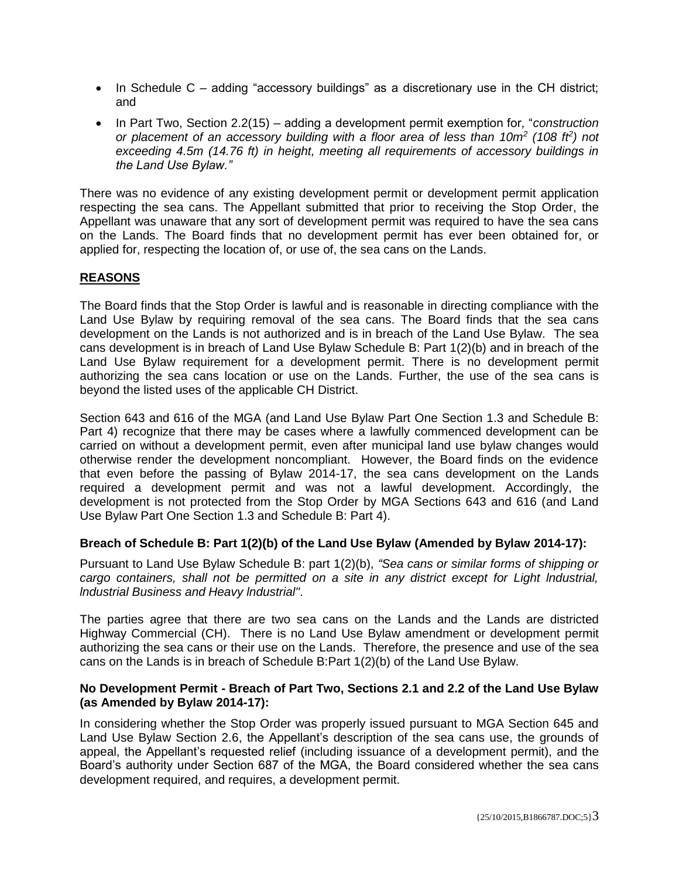- In Schedule C adding "accessory buildings" as a discretionary use in the CH district; and
- In Part Two, Section 2.2(15) adding a development permit exemption for, "*construction or placement of an accessory building with a floor area of less than 10m<sup>2</sup> (108 ft<sup>2</sup> ) not exceeding 4.5m (14.76 ft) in height, meeting all requirements of accessory buildings in the Land Use Bylaw."*

There was no evidence of any existing development permit or development permit application respecting the sea cans. The Appellant submitted that prior to receiving the Stop Order, the Appellant was unaware that any sort of development permit was required to have the sea cans on the Lands. The Board finds that no development permit has ever been obtained for, or applied for, respecting the location of, or use of, the sea cans on the Lands.

# **REASONS**

The Board finds that the Stop Order is lawful and is reasonable in directing compliance with the Land Use Bylaw by requiring removal of the sea cans. The Board finds that the sea cans development on the Lands is not authorized and is in breach of the Land Use Bylaw. The sea cans development is in breach of Land Use Bylaw Schedule B: Part 1(2)(b) and in breach of the Land Use Bylaw requirement for a development permit. There is no development permit authorizing the sea cans location or use on the Lands. Further, the use of the sea cans is beyond the listed uses of the applicable CH District.

Section 643 and 616 of the MGA (and Land Use Bylaw Part One Section 1.3 and Schedule B: Part 4) recognize that there may be cases where a lawfully commenced development can be carried on without a development permit, even after municipal land use bylaw changes would otherwise render the development noncompliant. However, the Board finds on the evidence that even before the passing of Bylaw 2014-17, the sea cans development on the Lands required a development permit and was not a lawful development. Accordingly, the development is not protected from the Stop Order by MGA Sections 643 and 616 (and Land Use Bylaw Part One Section 1.3 and Schedule B: Part 4).

# **Breach of Schedule B: Part 1(2)(b) of the Land Use Bylaw (Amended by Bylaw 2014-17):**

Pursuant to Land Use Bylaw Schedule B: part 1(2)(b), *"Sea cans or similar forms of shipping or cargo containers, shall not be permitted on a site in any district except for Light lndustrial, lndustrial Business and Heavy lndustrial"*.

The parties agree that there are two sea cans on the Lands and the Lands are districted Highway Commercial (CH). There is no Land Use Bylaw amendment or development permit authorizing the sea cans or their use on the Lands. Therefore, the presence and use of the sea cans on the Lands is in breach of Schedule B:Part 1(2)(b) of the Land Use Bylaw.

## **No Development Permit - Breach of Part Two, Sections 2.1 and 2.2 of the Land Use Bylaw (as Amended by Bylaw 2014-17):**

In considering whether the Stop Order was properly issued pursuant to MGA Section 645 and Land Use Bylaw Section 2.6, the Appellant's description of the sea cans use, the grounds of appeal, the Appellant's requested relief (including issuance of a development permit), and the Board's authority under Section 687 of the MGA, the Board considered whether the sea cans development required, and requires, a development permit.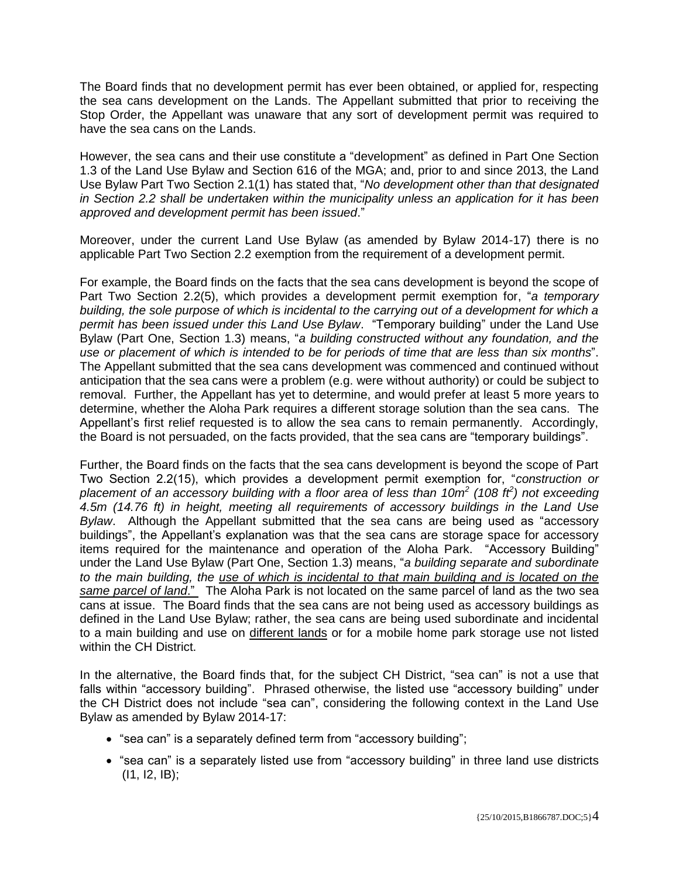The Board finds that no development permit has ever been obtained, or applied for, respecting the sea cans development on the Lands. The Appellant submitted that prior to receiving the Stop Order, the Appellant was unaware that any sort of development permit was required to have the sea cans on the Lands.

However, the sea cans and their use constitute a "development" as defined in Part One Section 1.3 of the Land Use Bylaw and Section 616 of the MGA; and, prior to and since 2013, the Land Use Bylaw Part Two Section 2.1(1) has stated that, "*No development other than that designated in Section 2.2 shall be undertaken within the municipality unless an application for it has been approved and development permit has been issued*."

Moreover, under the current Land Use Bylaw (as amended by Bylaw 2014-17) there is no applicable Part Two Section 2.2 exemption from the requirement of a development permit.

For example, the Board finds on the facts that the sea cans development is beyond the scope of Part Two Section 2.2(5), which provides a development permit exemption for, "*a temporary building, the sole purpose of which is incidental to the carrying out of a development for which a permit has been issued under this Land Use Bylaw*. "Temporary building" under the Land Use Bylaw (Part One, Section 1.3) means, "*a building constructed without any foundation, and the use or placement of which is intended to be for periods of time that are less than six months*". The Appellant submitted that the sea cans development was commenced and continued without anticipation that the sea cans were a problem (e.g. were without authority) or could be subject to removal. Further, the Appellant has yet to determine, and would prefer at least 5 more years to determine, whether the Aloha Park requires a different storage solution than the sea cans. The Appellant's first relief requested is to allow the sea cans to remain permanently. Accordingly, the Board is not persuaded, on the facts provided, that the sea cans are "temporary buildings".

Further, the Board finds on the facts that the sea cans development is beyond the scope of Part Two Section 2.2(15), which provides a development permit exemption for, "*construction or placement of an accessory building with a floor area of less than 10m<sup>2</sup> (108 ft<sup>2</sup> ) not exceeding 4.5m (14.76 ft) in height, meeting all requirements of accessory buildings in the Land Use Bylaw*. Although the Appellant submitted that the sea cans are being used as "accessory buildings", the Appellant's explanation was that the sea cans are storage space for accessory items required for the maintenance and operation of the Aloha Park. "Accessory Building" under the Land Use Bylaw (Part One, Section 1.3) means, "*a building separate and subordinate to the main building, the use of which is incidental to that main building and is located on the same parcel of land*." The Aloha Park is not located on the same parcel of land as the two sea cans at issue. The Board finds that the sea cans are not being used as accessory buildings as defined in the Land Use Bylaw; rather, the sea cans are being used subordinate and incidental to a main building and use on different lands or for a mobile home park storage use not listed within the CH District.

In the alternative, the Board finds that, for the subject CH District, "sea can" is not a use that falls within "accessory building". Phrased otherwise, the listed use "accessory building" under the CH District does not include "sea can", considering the following context in the Land Use Bylaw as amended by Bylaw 2014-17:

- "sea can" is a separately defined term from "accessory building";
- "sea can" is a separately listed use from "accessory building" in three land use districts (I1, I2, IB);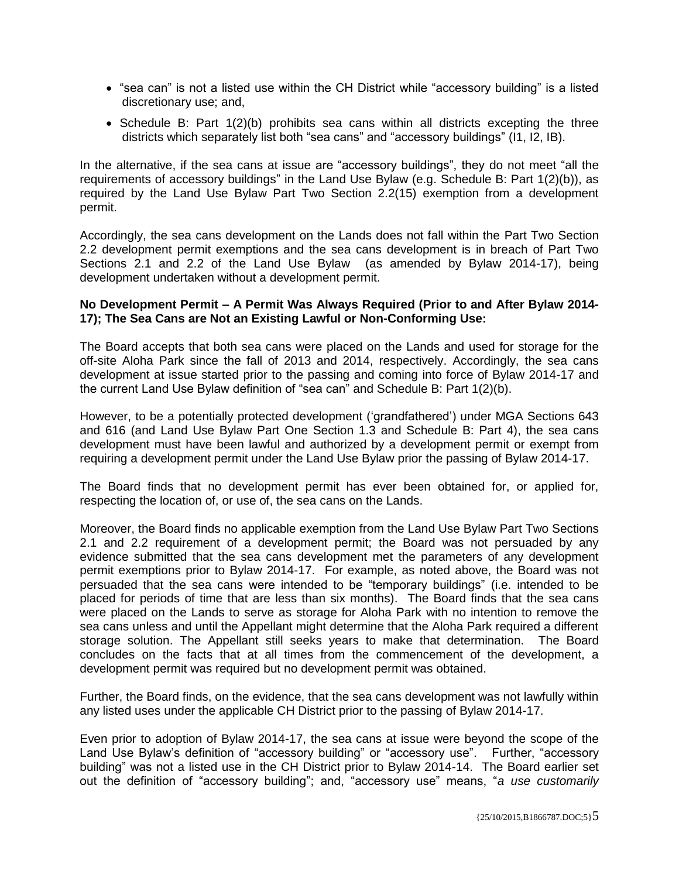- "sea can" is not a listed use within the CH District while "accessory building" is a listed discretionary use; and,
- $\bullet$  Schedule B: Part 1(2)(b) prohibits sea cans within all districts excepting the three districts which separately list both "sea cans" and "accessory buildings" (I1, I2, IB).

In the alternative, if the sea cans at issue are "accessory buildings", they do not meet "all the requirements of accessory buildings" in the Land Use Bylaw (e.g. Schedule B: Part 1(2)(b)), as required by the Land Use Bylaw Part Two Section 2.2(15) exemption from a development permit.

Accordingly, the sea cans development on the Lands does not fall within the Part Two Section 2.2 development permit exemptions and the sea cans development is in breach of Part Two Sections 2.1 and 2.2 of the Land Use Bylaw (as amended by Bylaw 2014-17), being development undertaken without a development permit.

## **No Development Permit – A Permit Was Always Required (Prior to and After Bylaw 2014- 17); The Sea Cans are Not an Existing Lawful or Non-Conforming Use:**

The Board accepts that both sea cans were placed on the Lands and used for storage for the off-site Aloha Park since the fall of 2013 and 2014, respectively. Accordingly, the sea cans development at issue started prior to the passing and coming into force of Bylaw 2014-17 and the current Land Use Bylaw definition of "sea can" and Schedule B: Part 1(2)(b).

However, to be a potentially protected development ('grandfathered') under MGA Sections 643 and 616 (and Land Use Bylaw Part One Section 1.3 and Schedule B: Part 4), the sea cans development must have been lawful and authorized by a development permit or exempt from requiring a development permit under the Land Use Bylaw prior the passing of Bylaw 2014-17.

The Board finds that no development permit has ever been obtained for, or applied for, respecting the location of, or use of, the sea cans on the Lands.

Moreover, the Board finds no applicable exemption from the Land Use Bylaw Part Two Sections 2.1 and 2.2 requirement of a development permit; the Board was not persuaded by any evidence submitted that the sea cans development met the parameters of any development permit exemptions prior to Bylaw 2014-17. For example, as noted above, the Board was not persuaded that the sea cans were intended to be "temporary buildings" (i.e. intended to be placed for periods of time that are less than six months). The Board finds that the sea cans were placed on the Lands to serve as storage for Aloha Park with no intention to remove the sea cans unless and until the Appellant might determine that the Aloha Park required a different storage solution. The Appellant still seeks years to make that determination. The Board concludes on the facts that at all times from the commencement of the development, a development permit was required but no development permit was obtained.

Further, the Board finds, on the evidence, that the sea cans development was not lawfully within any listed uses under the applicable CH District prior to the passing of Bylaw 2014-17.

Even prior to adoption of Bylaw 2014-17, the sea cans at issue were beyond the scope of the Land Use Bylaw's definition of "accessory building" or "accessory use". Further, "accessory building" was not a listed use in the CH District prior to Bylaw 2014-14. The Board earlier set out the definition of "accessory building"; and, "accessory use" means, "*a use customarily*